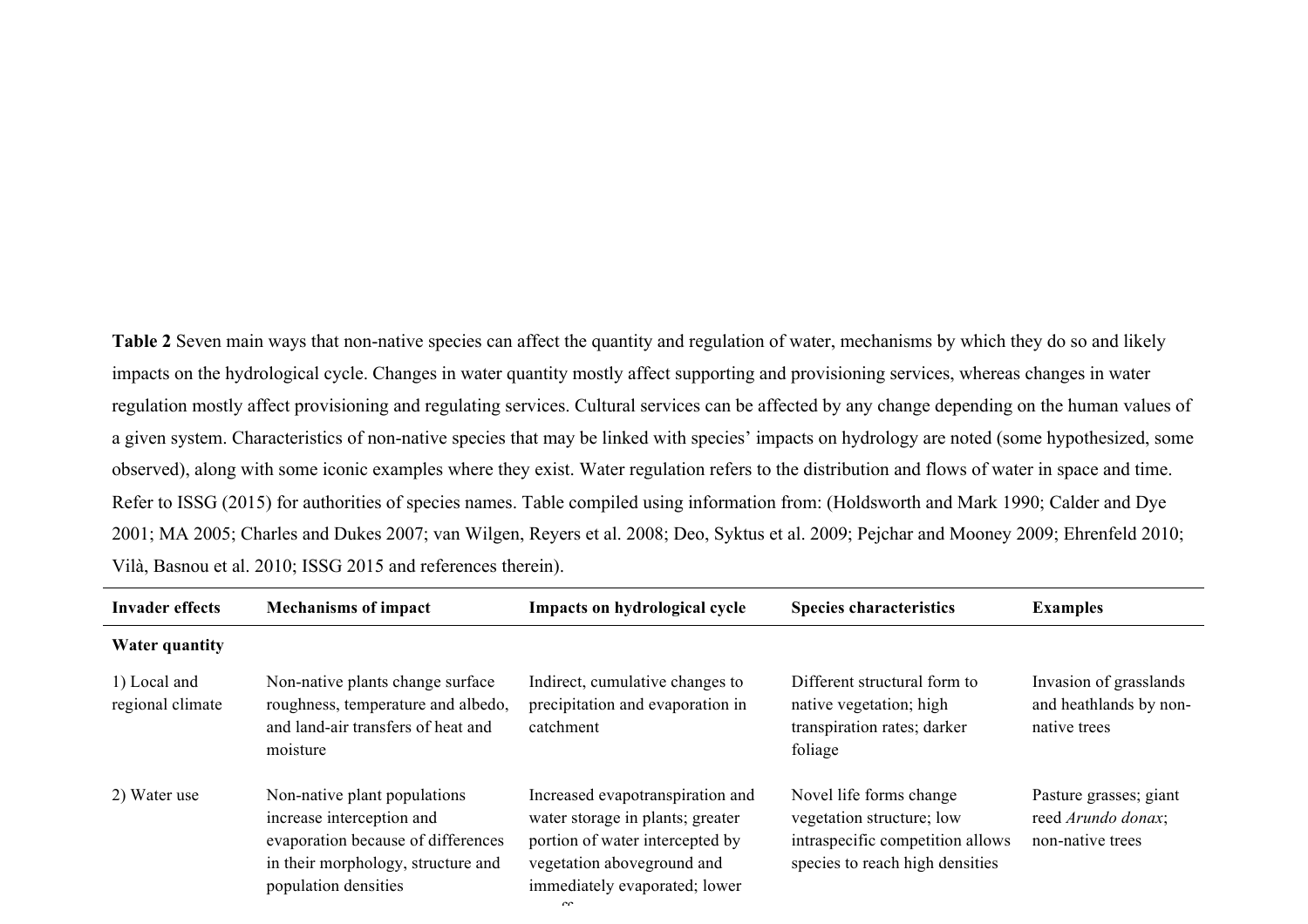**Table 2** Seven main ways that non-native species can affect the quantity and regulation of water, mechanisms by which they do so and likely impacts on the hydrological cycle. Changes in water quantity mostly affect supporting and provisioning services, whereas changes in water regulation mostly affect provisioning and regulating services. Cultural services can be affected by any change depending on the human values of a given system. Characteristics of non-native species that may be linked with species' impacts on hydrology are noted (some hypothesized, some observed), along with some iconic examples where they exist. Water regulation refers to the distribution and flows of water in space and time. Refer to ISSG (2015) for authorities of species names. Table compiled using information from: (Holdsworth and Mark 1990; Calder and Dye 2001; MA 2005; Charles and Dukes 2007; van Wilgen, Reyers et al. 2008; Deo, Syktus et al. 2009; Pejchar and Mooney 2009; Ehrenfeld 2010; Vilà, Basnou et al. 2010; ISSG 2015 and references therein).

| <b>Invader effects</b>           | <b>Mechanisms of impact</b>                                                                                                                                   | Impacts on hydrological cycle                                                                                                                                                    | <b>Species characteristics</b>                                                                                              | <b>Examples</b>                                                  |
|----------------------------------|---------------------------------------------------------------------------------------------------------------------------------------------------------------|----------------------------------------------------------------------------------------------------------------------------------------------------------------------------------|-----------------------------------------------------------------------------------------------------------------------------|------------------------------------------------------------------|
| <b>Water quantity</b>            |                                                                                                                                                               |                                                                                                                                                                                  |                                                                                                                             |                                                                  |
| 1) Local and<br>regional climate | Non-native plants change surface<br>roughness, temperature and albedo,<br>and land-air transfers of heat and<br>moisture                                      | Indirect, cumulative changes to<br>precipitation and evaporation in<br>catchment                                                                                                 | Different structural form to<br>native vegetation; high<br>transpiration rates; darker<br>foliage                           | Invasion of grasslands<br>and heathlands by non-<br>native trees |
| 2) Water use                     | Non-native plant populations<br>increase interception and<br>evaporation because of differences<br>in their morphology, structure and<br>population densities | Increased evapotranspiration and<br>water storage in plants; greater<br>portion of water intercepted by<br>vegetation aboveground and<br>immediately evaporated; lower<br>$\sim$ | Novel life forms change<br>vegetation structure; low<br>intraspecific competition allows<br>species to reach high densities | Pasture grasses; giant<br>reed Arundo donax;<br>non-native trees |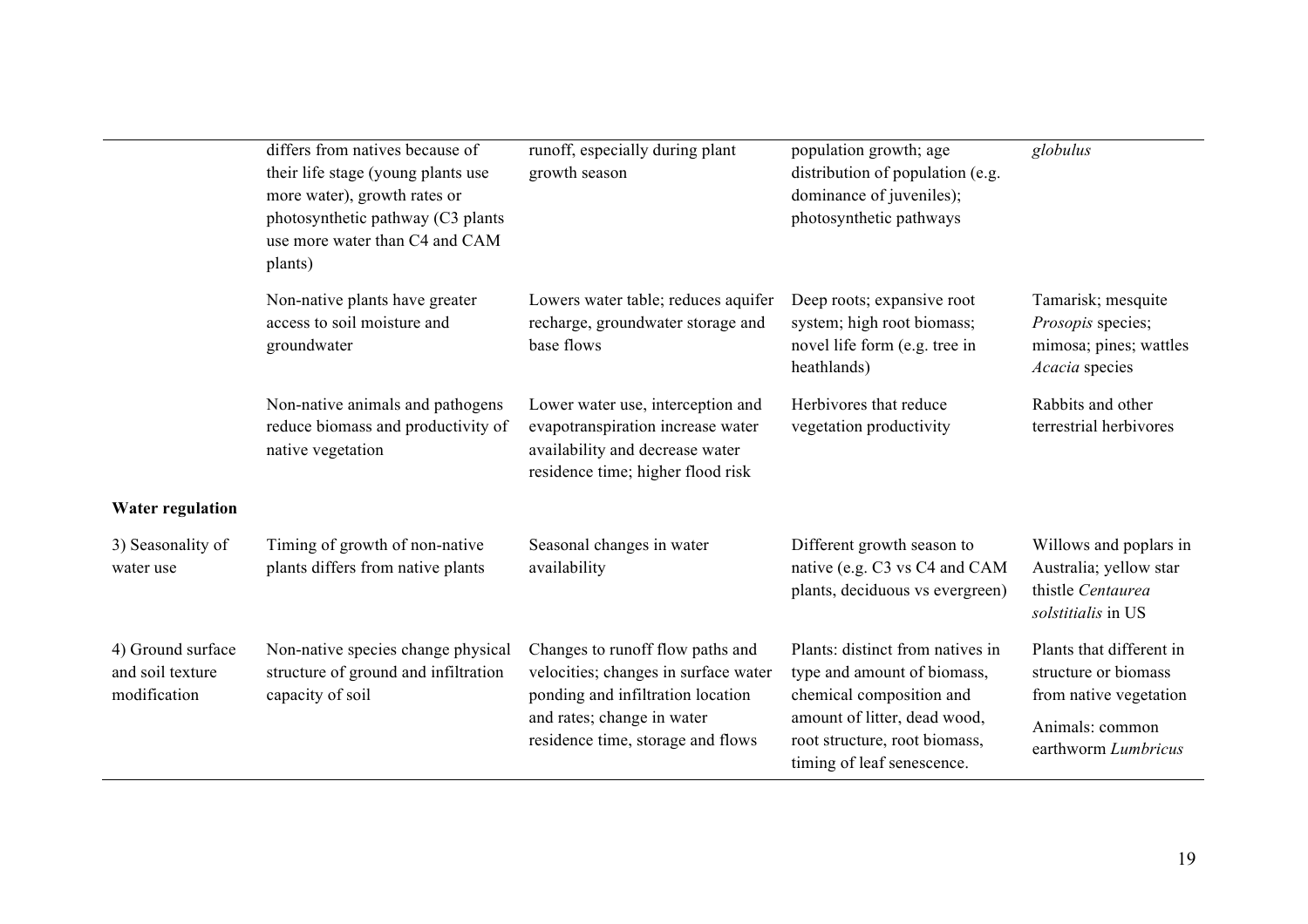|                                                       | differs from natives because of<br>their life stage (young plants use<br>more water), growth rates or<br>photosynthetic pathway (C3 plants<br>use more water than C4 and CAM<br>plants) | runoff, especially during plant<br>growth season                                                                                                                                 | population growth; age<br>distribution of population (e.g.<br>dominance of juveniles);<br>photosynthetic pathways                                                                          | globulus                                                                                                             |
|-------------------------------------------------------|-----------------------------------------------------------------------------------------------------------------------------------------------------------------------------------------|----------------------------------------------------------------------------------------------------------------------------------------------------------------------------------|--------------------------------------------------------------------------------------------------------------------------------------------------------------------------------------------|----------------------------------------------------------------------------------------------------------------------|
|                                                       | Non-native plants have greater<br>access to soil moisture and<br>groundwater                                                                                                            | Lowers water table; reduces aquifer<br>recharge, groundwater storage and<br>base flows                                                                                           | Deep roots; expansive root<br>system; high root biomass;<br>novel life form (e.g. tree in<br>heathlands)                                                                                   | Tamarisk; mesquite<br>Prosopis species;<br>mimosa; pines; wattles<br>Acacia species                                  |
|                                                       | Non-native animals and pathogens<br>reduce biomass and productivity of<br>native vegetation                                                                                             | Lower water use, interception and<br>evapotranspiration increase water<br>availability and decrease water<br>residence time; higher flood risk                                   | Herbivores that reduce<br>vegetation productivity                                                                                                                                          | Rabbits and other<br>terrestrial herbivores                                                                          |
| <b>Water regulation</b>                               |                                                                                                                                                                                         |                                                                                                                                                                                  |                                                                                                                                                                                            |                                                                                                                      |
| 3) Seasonality of<br>water use                        | Timing of growth of non-native<br>plants differs from native plants                                                                                                                     | Seasonal changes in water<br>availability                                                                                                                                        | Different growth season to<br>native (e.g. C3 vs C4 and CAM<br>plants, deciduous vs evergreen)                                                                                             | Willows and poplars in<br>Australia; yellow star<br>thistle Centaurea<br>solstitialis in US                          |
| 4) Ground surface<br>and soil texture<br>modification | Non-native species change physical<br>structure of ground and infiltration<br>capacity of soil                                                                                          | Changes to runoff flow paths and<br>velocities; changes in surface water<br>ponding and infiltration location<br>and rates; change in water<br>residence time, storage and flows | Plants: distinct from natives in<br>type and amount of biomass,<br>chemical composition and<br>amount of litter, dead wood,<br>root structure, root biomass,<br>timing of leaf senescence. | Plants that different in<br>structure or biomass<br>from native vegetation<br>Animals: common<br>earthworm Lumbricus |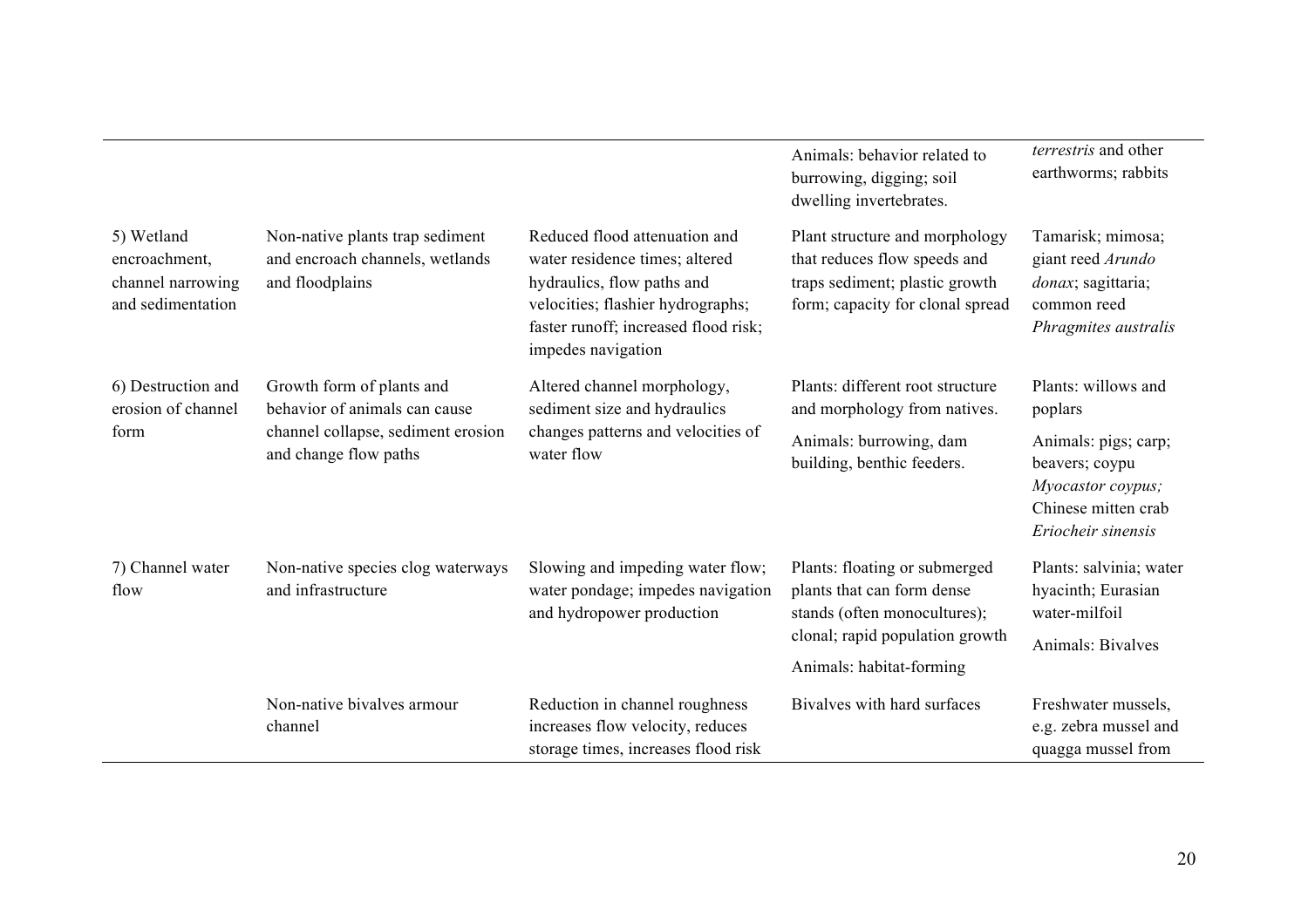|                                                                       |                                                                                                                           |                                                                                                                                                                                                  | Animals: behavior related to<br>burrowing, digging; soil<br>dwelling invertebrates.                                                  | <i>terrestris</i> and other<br>earthworms; rabbits                                                       |
|-----------------------------------------------------------------------|---------------------------------------------------------------------------------------------------------------------------|--------------------------------------------------------------------------------------------------------------------------------------------------------------------------------------------------|--------------------------------------------------------------------------------------------------------------------------------------|----------------------------------------------------------------------------------------------------------|
| 5) Wetland<br>encroachment,<br>channel narrowing<br>and sedimentation | Non-native plants trap sediment<br>and encroach channels, wetlands<br>and floodplains                                     | Reduced flood attenuation and<br>water residence times; altered<br>hydraulics, flow paths and<br>velocities; flashier hydrographs;<br>faster runoff; increased flood risk;<br>impedes navigation | Plant structure and morphology<br>that reduces flow speeds and<br>traps sediment; plastic growth<br>form; capacity for clonal spread | Tamarisk; mimosa;<br>giant reed Arundo<br>donax; sagittaria;<br>common reed<br>Phragmites australis      |
| 6) Destruction and<br>erosion of channel<br>form                      | Growth form of plants and<br>behavior of animals can cause<br>channel collapse, sediment erosion<br>and change flow paths | Altered channel morphology,<br>sediment size and hydraulics<br>changes patterns and velocities of<br>water flow                                                                                  | Plants: different root structure<br>and morphology from natives.                                                                     | Plants: willows and<br>poplars                                                                           |
|                                                                       |                                                                                                                           |                                                                                                                                                                                                  | Animals: burrowing, dam<br>building, benthic feeders.                                                                                | Animals: pigs; carp;<br>beavers; coypu<br>Myocastor coypus;<br>Chinese mitten crab<br>Eriocheir sinensis |
| 7) Channel water<br>flow                                              | Non-native species clog waterways<br>and infrastructure                                                                   | Slowing and impeding water flow;<br>water pondage; impedes navigation<br>and hydropower production                                                                                               | Plants: floating or submerged<br>plants that can form dense<br>stands (often monocultures);                                          | Plants: salvinia; water<br>hyacinth; Eurasian<br>water-milfoil                                           |
|                                                                       |                                                                                                                           |                                                                                                                                                                                                  | clonal; rapid population growth<br>Animals: habitat-forming                                                                          | Animals: Bivalves                                                                                        |
|                                                                       | Non-native bivalves armour<br>channel                                                                                     | Reduction in channel roughness<br>increases flow velocity, reduces<br>storage times, increases flood risk                                                                                        | Bivalves with hard surfaces                                                                                                          | Freshwater mussels,<br>e.g. zebra mussel and<br>quagga mussel from                                       |